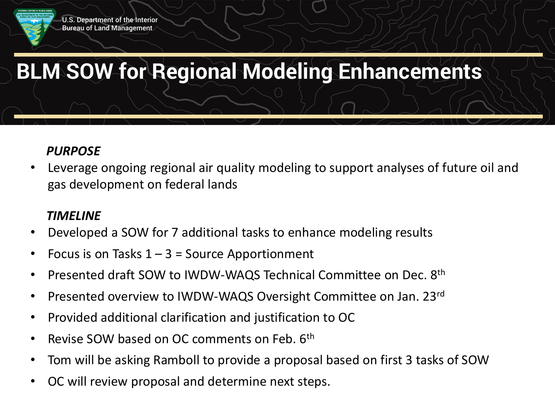

# **BLM SOW for Regional Modeling Enhancements**

#### *PURPOSE*

• Leverage ongoing regional air quality modeling to support analyses of future oil and gas development on federal lands

#### *TIMELINE*

- Developed a SOW for 7 additional tasks to enhance modeling results
- Focus is on Tasks  $1 3 =$  Source Apportionment
- Presented draft SOW to IWDW-WAQS Technical Committee on Dec. 8<sup>th</sup>
- Presented overview to IWDW-WAQS Oversight Committee on Jan. 23rd
- Provided additional clarification and justification to OC
- Revise SOW based on OC comments on Feb. 6<sup>th</sup>
- Tom will be asking Ramboll to provide a proposal based on first 3 tasks of SOW
- OC will review proposal and determine next steps.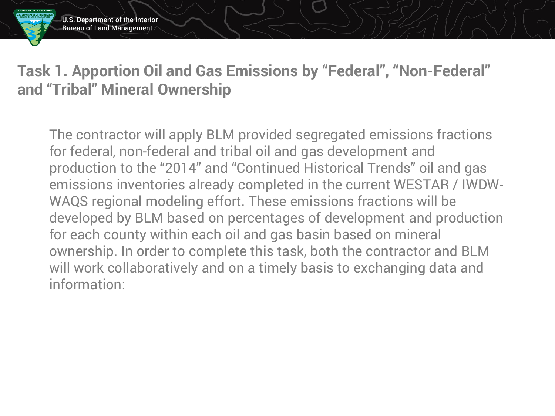U.S. Department of the Interior Bureau of Land Management

### **Task 1. Apportion Oil and Gas Emissions by "Federal", "Non-Federal" and "Tribal" Mineral Ownership**

The contractor will apply BLM provided segregated emissions fractions for federal, non-federal and tribal oil and gas development and production to the "2014" and "Continued Historical Trends" oil and gas emissions inventories already completed in the current WESTAR / IWDW-WAQS regional modeling effort. These emissions fractions will be developed by BLM based on percentages of development and production for each county within each oil and gas basin based on mineral ownership. In order to complete this task, both the contractor and BLM will work collaboratively and on a timely basis to exchanging data and information: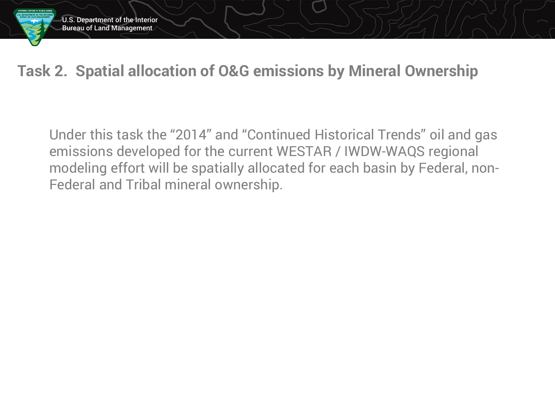## **Task 2. Spatial allocation of O&G emissions by Mineral Ownership**

Under this task the "2014" and "Continued Historical Trends" oil and gas emissions developed for the current WESTAR / IWDW-WAQS regional modeling effort will be spatially allocated for each basin by Federal, non-Federal and Tribal mineral ownership.